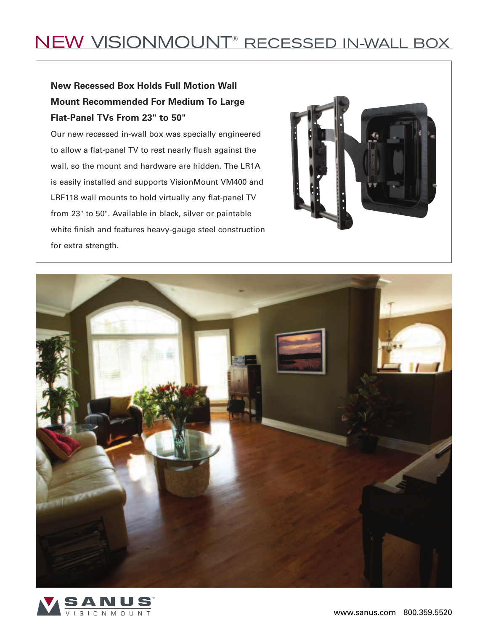## NEW VISIONMOUNT® RECESSED IN-WALL BOX

## **New Recessed Box Holds Full Motion Wall Mount Recommended For Medium To Large Flat-Panel TVs From 23" to 50"**

Our new recessed in-wall box was specially engineered to allow a flat-panel TV to rest nearly flush against the wall, so the mount and hardware are hidden. The LR1A is easily installed and supports VisionMount VM400 and LRF118 wall mounts to hold virtually any flat-panel TV from 23" to 50". Available in black, silver or paintable white finish and features heavy-gauge steel construction for extra strength.